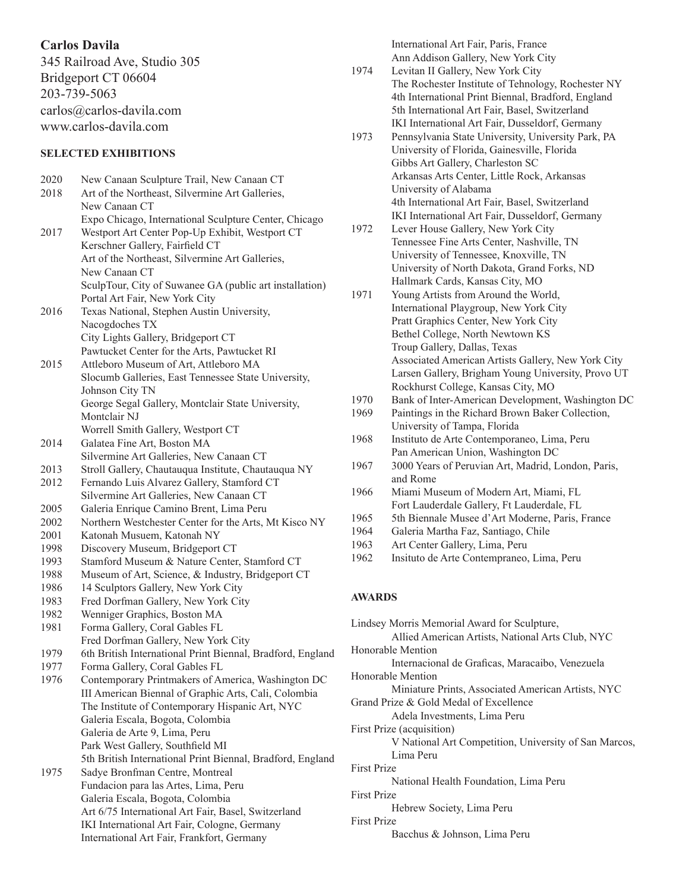# **Carlos Davila**

345 Railroad Ave, Studio 305 Bridgeport CT 06604 203-739-5063 carlos@carlos-davila.com www.carlos-davila.com

# **SELECTED EXHIBITIONS**

2020 New Canaan Sculpture Trail, New Canaan CT 2018 Art of the Northeast, Silvermine Art Galleries, New Canaan CT Expo Chicago, International Sculpture Center, Chicago 2017 Westport Art Center Pop-Up Exhibit, Westport CT Kerschner Gallery, Fairfield CT Art of the Northeast, Silvermine Art Galleries, New Canaan CT SculpTour, City of Suwanee GA (public art installation) Portal Art Fair, New York City 2016 Texas National, Stephen Austin University, Nacogdoches TX City Lights Gallery, Bridgeport CT Pawtucket Center for the Arts, Pawtucket RI 2015 Attleboro Museum of Art, Attleboro MA Slocumb Galleries, East Tennessee State University, Johnson City TN George Segal Gallery, Montclair State University, Montclair NJ Worrell Smith Gallery, Westport CT 2014 Galatea Fine Art, Boston MA Silvermine Art Galleries, New Canaan CT 2013 Stroll Gallery, Chautauqua Institute, Chautauqua NY 2012 Fernando Luis Alvarez Gallery, Stamford CT Silvermine Art Galleries, New Canaan CT 2005 Galeria Enrique Camino Brent, Lima Peru 2002 Northern Westchester Center for the Arts, Mt Kisco NY 2001 Katonah Musuem, Katonah NY 1998 Discovery Museum, Bridgeport CT 1993 Stamford Museum & Nature Center, Stamford CT 1988 Museum of Art, Science, & Industry, Bridgeport CT 1986 14 Sculptors Gallery, New York City 1983 Fred Dorfman Gallery, New York City 1982 Wenniger Graphics, Boston MA 1981 Forma Gallery, Coral Gables FL Fred Dorfman Gallery, New York City 1979 6th British International Print Biennal, Bradford, England 1977 Forma Gallery, Coral Gables FL 1976 Contemporary Printmakers of America, Washington DC III American Biennal of Graphic Arts, Cali, Colombia The Institute of Contemporary Hispanic Art, NYC Galeria Escala, Bogota, Colombia Galeria de Arte 9, Lima, Peru Park West Gallery, Southfield MI 5th British International Print Biennal, Bradford, England 1975 Sadye Bronfman Centre, Montreal Fundacion para las Artes, Lima, Peru Galeria Escala, Bogota, Colombia Art 6/75 International Art Fair, Basel, Switzerland IKI International Art Fair, Cologne, Germany International Art Fair, Frankfort, Germany

International Art Fair, Paris, France Ann Addison Gallery, New York City 1974 Levitan II Gallery, New York City The Rochester Institute of Tehnology, Rochester NY 4th International Print Biennal, Bradford, England 5th International Art Fair, Basel, Switzerland IKI International Art Fair, Dusseldorf, Germany 1973 Pennsylvania State University, University Park, PA University of Florida, Gainesville, Florida Gibbs Art Gallery, Charleston SC Arkansas Arts Center, Little Rock, Arkansas University of Alabama 4th International Art Fair, Basel, Switzerland IKI International Art Fair, Dusseldorf, Germany 1972 Lever House Gallery, New York City Tennessee Fine Arts Center, Nashville, TN University of Tennessee, Knoxville, TN University of North Dakota, Grand Forks, ND Hallmark Cards, Kansas City, MO 1971 Young Artists from Around the World, International Playgroup, New York City Pratt Graphics Center, New York City Bethel College, North Newtown KS Troup Gallery, Dallas, Texas Associated American Artists Gallery, New York City Larsen Gallery, Brigham Young University, Provo UT Rockhurst College, Kansas City, MO 1970 Bank of Inter-American Development, Washington DC 1969 Paintings in the Richard Brown Baker Collection, University of Tampa, Florida 1968 Instituto de Arte Contemporaneo, Lima, Peru Pan American Union, Washington DC 1967 3000 Years of Peruvian Art, Madrid, London, Paris, and Rome 1966 Miami Museum of Modern Art, Miami, FL Fort Lauderdale Gallery, Ft Lauderdale, FL 1965 5th Biennale Musee d'Art Moderne, Paris, France 1964 Galeria Martha Faz, Santiago, Chile 1963 Art Center Gallery, Lima, Peru 1962 Insituto de Arte Contempraneo, Lima, Peru **AWARDS** Lindsey Morris Memorial Award for Sculpture, Allied American Artists, National Arts Club, NYC Honorable Mention Internacional de Graficas, Maracaibo, Venezuela Honorable Mention Miniature Prints, Associated American Artists, NYC Grand Prize & Gold Medal of Excellence Adela Investments, Lima Peru First Prize (acquisition) V National Art Competition, University of San Marcos, Lima Peru

First Prize

National Health Foundation, Lima Peru

First Prize Hebrew Society, Lima Peru

First Prize

Bacchus & Johnson, Lima Peru